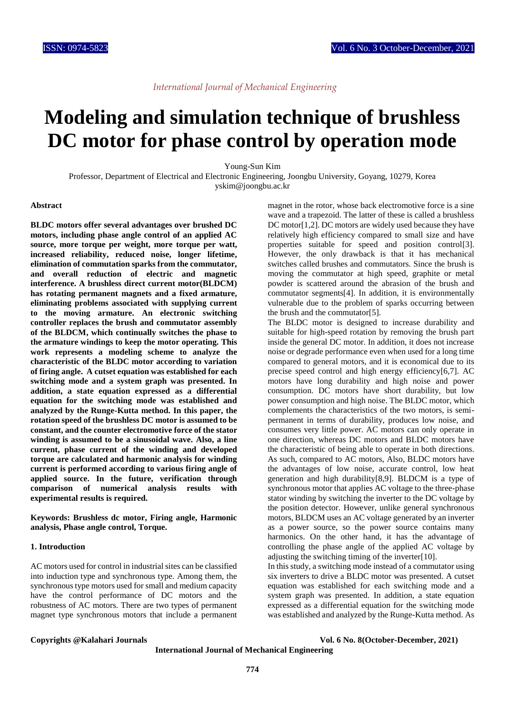## **Modeling and simulation technique of brushless DC motor for phase control by operation mode**

Young-Sun Kim

Professor, Department of Electrical and Electronic Engineering, Joongbu University, Goyang, 10279, Korea yskim@joongbu.ac.kr

#### **Abstract**

**BLDC motors offer several advantages over brushed DC motors, including phase angle control of an applied AC source, more torque per weight, more torque per watt, increased reliability, reduced noise, longer lifetime, elimination of commutation sparks from the commutator, and overall reduction of electric and magnetic interference. A brushless direct current motor(BLDCM) has rotating permanent magnets and a fixed armature, eliminating problems associated with supplying current to the moving armature. An electronic switching controller replaces the brush and commutator assembly of the BLDCM, which continually switches the phase to the armature windings to keep the motor operating. This work represents a modeling scheme to analyze the characteristic of the BLDC motor according to variation of firing angle. A cutset equation was established for each switching mode and a system graph was presented. In addition, a state equation expressed as a differential equation for the switching mode was established and analyzed by the Runge-Kutta method. In this paper, the rotation speed of the brushless DC motor is assumed to be constant, and the counter electromotive force of the stator winding is assumed to be a sinusoidal wave. Also, a line current, phase current of the winding and developed torque are calculated and harmonic analysis for winding current is performed according to various firing angle of applied source. In the future, verification through comparison of numerical analysis results with experimental results is required.**

**Keywords: Brushless dc motor, Firing angle, Harmonic analysis, Phase angle control, Torque.**

#### **1. Introduction**

AC motors used for control in industrial sites can be classified into induction type and synchronous type. Among them, the synchronous type motors used for small and medium capacity have the control performance of DC motors and the robustness of AC motors. There are two types of permanent magnet type synchronous motors that include a permanent

magnet in the rotor, whose back electromotive force is a sine wave and a trapezoid. The latter of these is called a brushless DC motor[1,2]. DC motors are widely used because they have relatively high efficiency compared to small size and have properties suitable for speed and position control[3]. However, the only drawback is that it has mechanical switches called brushes and commutators. Since the brush is moving the commutator at high speed, graphite or metal powder is scattered around the abrasion of the brush and commutator segments[4]. In addition, it is environmentally vulnerable due to the problem of sparks occurring between the brush and the commutator[5].

The BLDC motor is designed to increase durability and suitable for high-speed rotation by removing the brush part inside the general DC motor. In addition, it does not increase noise or degrade performance even when used for a long time compared to general motors, and it is economical due to its precise speed control and high energy efficiency[6,7]. AC motors have long durability and high noise and power consumption. DC motors have short durability, but low power consumption and high noise. The BLDC motor, which complements the characteristics of the two motors, is semipermanent in terms of durability, produces low noise, and consumes very little power. AC motors can only operate in one direction, whereas DC motors and BLDC motors have the characteristic of being able to operate in both directions. As such, compared to AC motors, Also, BLDC motors have the advantages of low noise, accurate control, low heat generation and high durability[8,9]. BLDCM is a type of synchronous motor that applies AC voltage to the three-phase stator winding by switching the inverter to the DC voltage by the position detector. However, unlike general synchronous motors, BLDCM uses an AC voltage generated by an inverter as a power source, so the power source contains many harmonics. On the other hand, it has the advantage of controlling the phase angle of the applied AC voltage by adjusting the switching timing of the inverter[10].

In this study, a switching mode instead of a commutator using six inverters to drive a BLDC motor was presented. A cutset equation was established for each switching mode and a system graph was presented. In addition, a state equation expressed as a differential equation for the switching mode was established and analyzed by the Runge-Kutta method. As

**Copyrights @Kalahari Journals Vol. 6 No. 8(October-December, 2021)**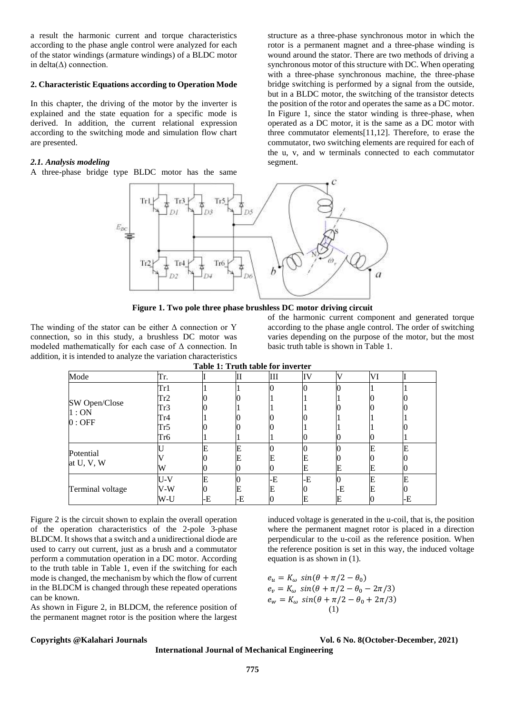a result the harmonic current and torque characteristics according to the phase angle control were analyzed for each of the stator windings (armature windings) of a BLDC motor in delta $(\Delta)$  connection.

### **2. Characteristic Equations according to Operation Mode**

In this chapter, the driving of the motor by the inverter is explained and the state equation for a specific mode is derived. In addition, the current relational expression according to the switching mode and simulation flow chart are presented.

### *2.1. Analysis modeling*

A three-phase bridge type BLDC motor has the same

structure as a three-phase synchronous motor in which the rotor is a permanent magnet and a three-phase winding is wound around the stator. There are two methods of driving a synchronous motor of this structure with DC. When operating with a three-phase synchronous machine, the three-phase bridge switching is performed by a signal from the outside, but in a BLDC motor, the switching of the transistor detects the position of the rotor and operates the same as a DC motor. In Figure 1, since the stator winding is three-phase, when operated as a DC motor, it is the same as a DC motor with three commutator elements[11,12]. Therefore, to erase the commutator, two switching elements are required for each of the u, v, and w terminals connected to each commutator segment.



**Figure 1. Two pole three phase brushless DC motor driving circuit**

The winding of the stator can be either  $\Delta$  connection or Y connection, so in this study, a brushless DC motor was modeled mathematically for each case of Δ connection. In addition, it is intended to analyze the variation characteristics of the harmonic current component and generated torque according to the phase angle control. The order of switching varies depending on the purpose of the motor, but the most basic truth table is shown in Table 1.

| Table 1: Truth table for inverter |     |    |    |    |    |    |    |    |  |
|-----------------------------------|-----|----|----|----|----|----|----|----|--|
| Mode                              | Tr. |    | ш  | Ш  | IV | V  | VI |    |  |
| SW Open/Close<br>1:ON<br>$0:$ OFF | Tr1 |    |    |    |    |    |    |    |  |
|                                   | Tr2 |    |    |    |    |    |    |    |  |
|                                   | Tr3 |    |    |    |    |    |    |    |  |
|                                   | Tr4 |    |    |    |    |    |    |    |  |
|                                   | Tr5 |    |    |    |    |    |    |    |  |
|                                   | Tr6 |    |    |    | U  |    |    |    |  |
| Potential<br>at U, V, W           |     | E  |    |    |    |    |    |    |  |
|                                   |     |    |    | E  | E  |    |    |    |  |
|                                   | W   |    |    |    | Е  | E  | E  |    |  |
| Terminal voltage                  | U-V | E  |    | -E | -E |    |    | F  |  |
|                                   | V-W |    |    | E  |    | -E |    |    |  |
|                                   | W-U | -E | -E |    | E  | Е  |    | -E |  |

Figure 2 is the circuit shown to explain the overall operation of the operation characteristics of the 2-pole 3-phase BLDCM. It shows that a switch and a unidirectional diode are used to carry out current, just as a brush and a commutator perform a commutation operation in a DC motor. According to the truth table in Table 1, even if the switching for each mode is changed, the mechanism by which the flow of current in the BLDCM is changed through these repeated operations can be known.

As shown in Figure 2, in BLDCM, the reference position of the permanent magnet rotor is the position where the largest induced voltage is generated in the u-coil, that is, the position where the permanent magnet rotor is placed in a direction perpendicular to the u-coil as the reference position. When the reference position is set in this way, the induced voltage equation is as shown in (1).

$$
e_u = K_{\omega} \sin(\theta + \pi/2 - \theta_0)
$$
  
\n
$$
e_v = K_{\omega} \sin(\theta + \pi/2 - \theta_0 - 2\pi/3)
$$
  
\n
$$
e_w = K_{\omega} \sin(\theta + \pi/2 - \theta_0 + 2\pi/3)
$$
  
\n(1)

**Copyrights @Kalahari Journals Vol. 6 No. 8(October-December, 2021)**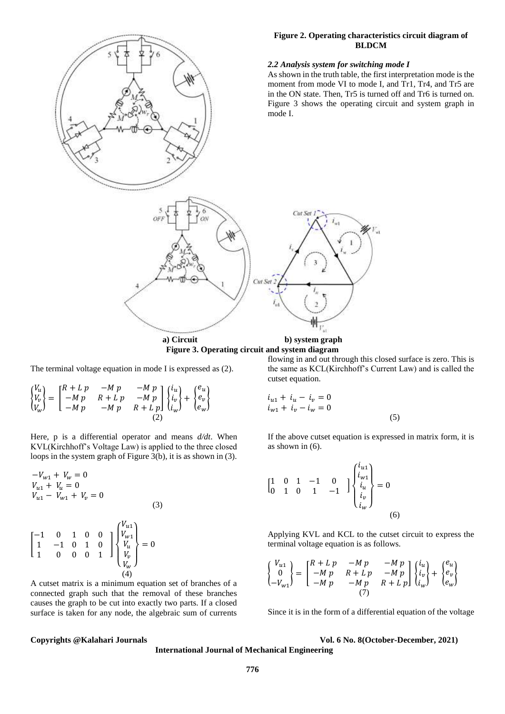# **Figure 2. Operating characteristics circuit diagram of BLDCM** *2.2 Analysis system for switching mode I* As shown in the truth table, the first interpretation mode is the moment from mode VI to mode I, and Tr1, Tr4, and Tr5 are in the ON state. Then, Tr5 is turned off and Tr6 is turned on. Figure 3 shows the operating circuit and system graph in mode I. Cut Set Cut Se  $\Gamma_{\rm M}$ **a) Circuit b) system graph**

**Figure 3. Operating circuit and system diagram**

The terminal voltage equation in mode I is expressed as (2).

$$
\begin{Bmatrix}\nV_u \\
V_v \\
V_w\n\end{Bmatrix} = \begin{bmatrix}\nR + L p & -M p & -M p \\
-M p & R + L p & -M p \\
-M p & -M p & R + L p\n\end{bmatrix} \begin{Bmatrix}\ni_u \\
i_v \\
i_w\n\end{Bmatrix} + \begin{Bmatrix}\ne_u \\
e_v \\
e_w\n\end{Bmatrix}
$$

Here, p is a differential operator and means *d/dt*. When KVL(Kirchhoff's Voltage Law) is applied to the three closed loops in the system graph of Figure 3(b), it is as shown in (3).

$$
-V_{w1} + V_w = 0
$$
  
\n
$$
V_{u1} + V_u = 0
$$
  
\n
$$
V_{u1} - V_{w1} + V_v = 0
$$
  
\n(3)  
\n
$$
\begin{bmatrix}\n-1 & 0 & 1 & 0 & 0 \\
1 & -1 & 0 & 1 & 0 \\
1 & 0 & 0 & 0 & 1\n\end{bmatrix}\n\begin{bmatrix}\nV_{u1} \\
V_{w1} \\
V_u \\
V_v \\
V_v\n\end{bmatrix} = 0
$$
  
\n(4)

A cutset matrix is a minimum equation set of branches of a connected graph such that the removal of these branches causes the graph to be cut into exactly two parts. If a closed surface is taken for any node, the algebraic sum of currents flowing in and out through this closed surface is zero. This is the same as KCL(Kirchhoff's Current Law) and is called the cutset equation.

$$
i_{u1} + i_u - i_v = 0
$$
  
\n
$$
i_{w1} + i_v - i_w = 0
$$
\n(5)

If the above cutset equation is expressed in matrix form, it is as shown in  $(6)$ .

$$
\begin{bmatrix} 1 & 0 & 1 & -1 & 0 \ 0 & 1 & 0 & 1 & -1 \end{bmatrix} \begin{bmatrix} i_{u1} \\ i_{w1} \\ i_u \\ i_w \end{bmatrix} = 0
$$
\n(6)

Applying KVL and KCL to the cutset circuit to express the terminal voltage equation is as follows.

$$
\begin{Bmatrix}\nV_{u1} \\
0 \\
-V_{w1}\n\end{Bmatrix} = \begin{bmatrix}\nR + L p & -Mp & -Mp \\
-M p & R + L p & -Mp \\
-M p & -Mp & R + L p\n\end{bmatrix} \begin{Bmatrix}\ni_{u} \\
i_{v} \\
i_{w}\n\end{Bmatrix} + \begin{Bmatrix}\ne_{u} \\
e_{v} \\
e_{w}\n\end{Bmatrix}
$$

Since it is in the form of a differential equation of the voltage

**Copyrights @Kalahari Journals Vol. 6 No. 8(October-December, 2021)**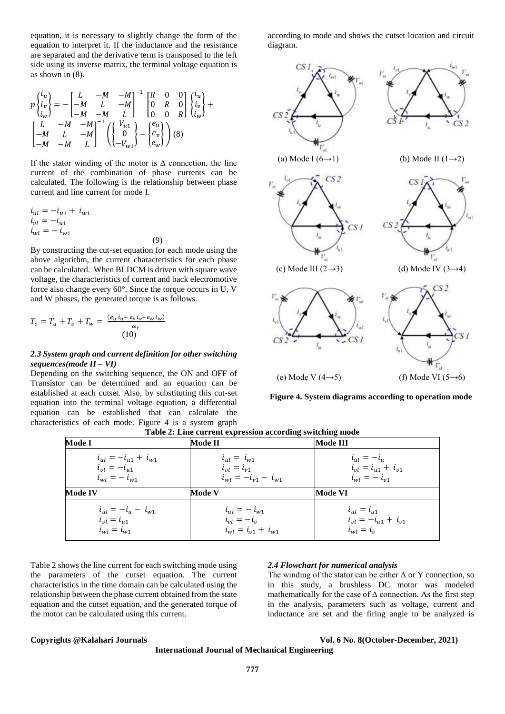equation, it is necessary to slightly change the form of the equation to interpret it. If the inductance and the resistance are separated and the derivative term is transposed to the left side using its inverse matrix, the terminal voltage equation is as shown in (8).

$$
p\begin{Bmatrix} i_u \\ i_v \\ i_w \end{Bmatrix} = -\begin{bmatrix} L & -M & -M \\ -M & L & -M \\ -M & -M & L \end{bmatrix}^{-1} \begin{bmatrix} R & 0 & 0 \\ 0 & R & 0 \\ 0 & 0 & R \end{bmatrix} \begin{Bmatrix} i_u \\ i_v \\ i_w \end{Bmatrix} + \begin{bmatrix} L & -M & -M \\ -M & L & -M \\ -M & -M & L \end{bmatrix}^{-1} \begin{Bmatrix} V_{u1} \\ 0 \\ -V_{w1} \end{Bmatrix} - \begin{Bmatrix} e_u \\ e_v \\ e_w \end{Bmatrix} \begin{Bmatrix} i_u \\ i_v \\ e_w \end{Bmatrix}
$$
 (8)

If the stator winding of the motor is  $\Delta$  connection, the line current of the combination of phase currents can be calculated. The following is the relationship between phase current and line current for mode I.

$$
i_{ul} = -i_{u1} + i_{w1} \n i_{vl} = -i_{u1} \n i_{wl} = -i_{w1}
$$

By constructing the cut-set equation for each mode using the above algorithm, the current characteristics for each phase can be calculated. When BLDCM is driven with square wave voltage, the characteristics of current and back electromotive force also change every 60°. Since the torque occurs in U, V and W phases, the generated torque is as follows.

(9)

$$
T_e = T_u + T_v + T_w = \frac{(e_u i_u + e_v i_v + e_w i_w)}{\omega_r}
$$
  
(10)

### *2.3 System graph and current definition for other switching sequences(mode II – VI)*

Depending on the switching sequence, the ON and OFF of Transistor can be determined and an equation can be established at each cutset. Also, by substituting this cut-set equation into the terminal voltage equation, a differential equation can be established that can calculate the characteristics of each mode. Figure 4 is a system graph according to mode and shows the cutset location and circuit diagram.



**Figure 4. System diagrams according to operation mode**

**Table 2: Line current expression according switching mode**

| Mode I                      | <b>Mode II</b>              | Mode III                    |  |  |
|-----------------------------|-----------------------------|-----------------------------|--|--|
| $i_{ul} = -i_{u1} + i_{w1}$ | $i_{ul} = i_{w1}$           | $i_{ul} = -i_{ul}$          |  |  |
| $i_{vl} = -i_{u1}$          | $i_{vl} = i_{v1}$           | $i_{vl} = i_{u1} + i_{v1}$  |  |  |
| $i_{wl} = - i_{w1}$         | $i_{wl} = -i_{v1} - i_{w1}$ | $i_{wl} = - i_{v1}$         |  |  |
| <b>Mode IV</b>              | <b>Mode V</b>               | Mode VI                     |  |  |
| $i_{ul} = -i_{ul} - i_{w1}$ | $i_{ul} = - i_{w1}$         | $i_{ul} = i_{u1}$           |  |  |
| $i_{vl} = i_{u1}$           | $i_{vl}=-i_v$               | $i_{vl} = -i_{u1} + i_{v1}$ |  |  |
| $i_{wl} = i_{w1}$           | $i_{wl} = i_{v1} + i_{w1}$  | $i_{wl} = i_v$              |  |  |

Table 2 shows the line current for each switching mode using the parameters of the cutset equation. The current characteristics in the time domain can be calculated using the relationship between the phase current obtained from the state equation and the cutset equation, and the generated torque of the motor can be calculated using this current.

#### *2.4 Flowchart for numerical analysis*

The winding of the stator can be either  $\Delta$  or Y connection, so in this study, a brushless DC motor was modeled mathematically for the case of  $\Delta$  connection. As the first step in the analysis, parameters such as voltage, current and inductance are set and the firing angle to be analyzed is

**Copyrights @Kalahari Journals Vol. 6 No. 8(October-December, 2021)**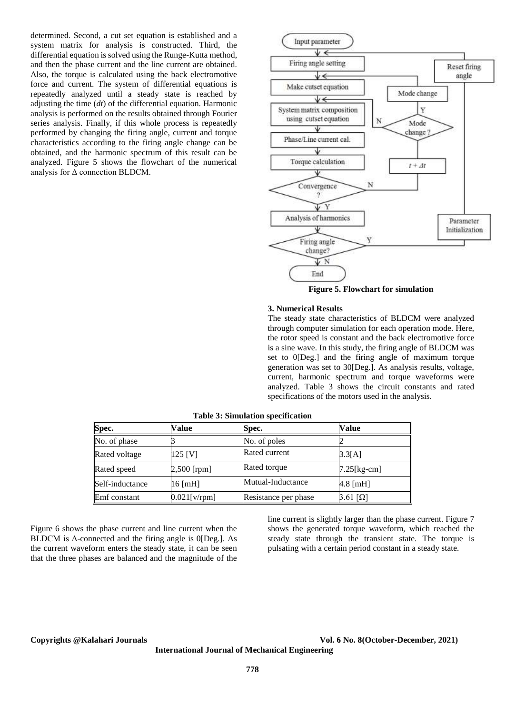determined. Second, a cut set equation is established and a system matrix for analysis is constructed. Third, the differential equation is solved using the Runge-Kutta method, and then the phase current and the line current are obtained. Also, the torque is calculated using the back electromotive force and current. The system of differential equations is repeatedly analyzed until a steady state is reached by adjusting the time (*dt*) of the differential equation. Harmonic analysis is performed on the results obtained through Fourier series analysis. Finally, if this whole process is repeatedly performed by changing the firing angle, current and torque characteristics according to the firing angle change can be obtained, and the harmonic spectrum of this result can be analyzed. Figure 5 shows the flowchart of the numerical analysis for Δ connection BLDCM.



**Figure 5. Flowchart for simulation**

#### **3. Numerical Results**

The steady state characteristics of BLDCM were analyzed through computer simulation for each operation mode. Here, the rotor speed is constant and the back electromotive force is a sine wave. In this study, the firing angle of BLDCM was set to 0[Deg.] and the firing angle of maximum torque generation was set to 30[Deg.]. As analysis results, voltage, current, harmonic spectrum and torque waveforms were analyzed. Table 3 shows the circuit constants and rated specifications of the motors used in the analysis.

| Spec.           | Value           | Spec.                | Value               |
|-----------------|-----------------|----------------------|---------------------|
| No. of phase    |                 | No. of poles         |                     |
| Rated voltage   | $125$ [V]       | Rated current        | 3.3[A]              |
| Rated speed     | $2,500$ [rpm]   | Rated torque         | $7.25$ [kg-cm]      |
| Self-inductance | $16$ [mH]       | Mutual-Inductance    | $4.8$ [mH]          |
| Emf constant    | $0.021$ [v/rpm] | Resistance per phase | $3.61$ [ $\Omega$ ] |

**Table 3: Simulation specification**

Figure 6 shows the phase current and line current when the BLDCM is Δ-connected and the firing angle is 0[Deg.]. As the current waveform enters the steady state, it can be seen that the three phases are balanced and the magnitude of the line current is slightly larger than the phase current. Figure 7 shows the generated torque waveform, which reached the steady state through the transient state. The torque is pulsating with a certain period constant in a steady state.

**Copyrights @Kalahari Journals Vol. 6 No. 8(October-December, 2021)**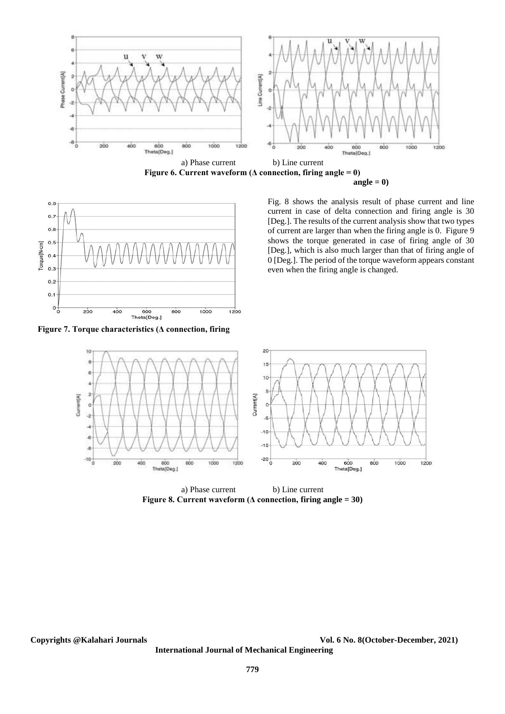



**Figure 7. Torque characteristics (Δ connection, firing** 

Fig. 8 shows the analysis result of phase current and line current in case of delta connection and firing angle is 30 [Deg.]. The results of the current analysis show that two types of current are larger than when the firing angle is 0. Figure 9 shows the torque generated in case of firing angle of 30 [Deg.], which is also much larger than that of firing angle of 0 [Deg.]. The period of the torque waveform appears constant even when the firing angle is changed.



a) Phase current b) Line current **Figure 8. Current waveform (Δ connection, firing angle = 30)**

**Copyrights @Kalahari Journals Vol. 6 No. 8(October-December, 2021)**